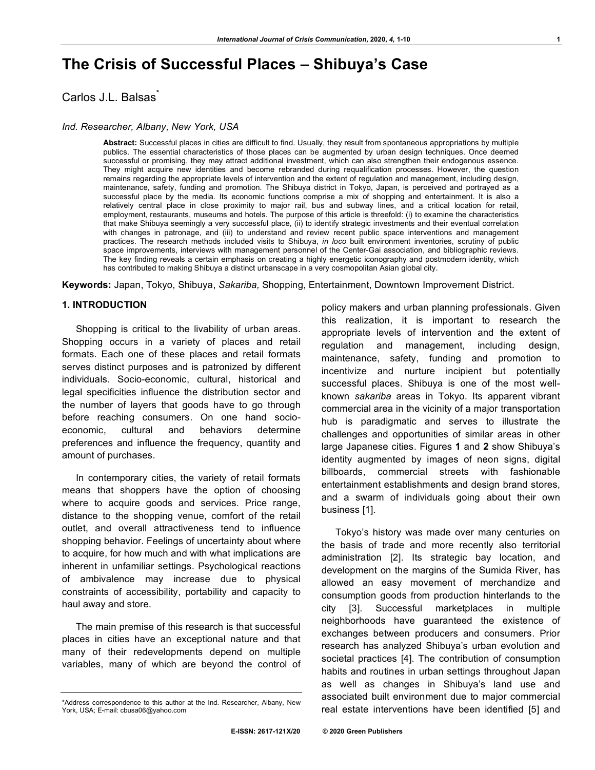# **The Crisis of Successful Places – Shibuya's Case**

Carlos J.L. Balsas<sup>\*</sup>

#### *Ind. Researcher, Albany, New York, USA*

**Abstract:** Successful places in cities are difficult to find. Usually, they result from spontaneous appropriations by multiple publics. The essential characteristics of those places can be augmented by urban design techniques. Once deemed successful or promising, they may attract additional investment, which can also strengthen their endogenous essence. They might acquire new identities and become rebranded during requalification processes. However, the question remains regarding the appropriate levels of intervention and the extent of regulation and management, including design, maintenance, safety, funding and promotion. The Shibuya district in Tokyo, Japan, is perceived and portrayed as a successful place by the media. Its economic functions comprise a mix of shopping and entertainment. It is also a relatively central place in close proximity to major rail, bus and subway lines, and a critical location for retail, employment, restaurants, museums and hotels. The purpose of this article is threefold: (i) to examine the characteristics that make Shibuya seemingly a very successful place, (ii) to identify strategic investments and their eventual correlation with changes in patronage, and (iii) to understand and review recent public space interventions and management practices. The research methods included visits to Shibuya, *in loco* built environment inventories, scrutiny of public space improvements, interviews with management personnel of the Center-Gai association, and bibliographic reviews. The key finding reveals a certain emphasis on creating a highly energetic iconography and postmodern identity, which has contributed to making Shibuya a distinct urbanscape in a very cosmopolitan Asian global city.

**Keywords:** Japan, Tokyo, Shibuya, *Sakariba,* Shopping, Entertainment, Downtown Improvement District.

## **1. INTRODUCTION**

Shopping is critical to the livability of urban areas. Shopping occurs in a variety of places and retail formats. Each one of these places and retail formats serves distinct purposes and is patronized by different individuals. Socio-economic, cultural, historical and legal specificities influence the distribution sector and the number of layers that goods have to go through before reaching consumers. On one hand socioeconomic, cultural and behaviors determine preferences and influence the frequency, quantity and amount of purchases.

In contemporary cities, the variety of retail formats means that shoppers have the option of choosing where to acquire goods and services. Price range, distance to the shopping venue, comfort of the retail outlet, and overall attractiveness tend to influence shopping behavior. Feelings of uncertainty about where to acquire, for how much and with what implications are inherent in unfamiliar settings. Psychological reactions of ambivalence may increase due to physical constraints of accessibility, portability and capacity to haul away and store.

The main premise of this research is that successful places in cities have an exceptional nature and that many of their redevelopments depend on multiple variables, many of which are beyond the control of policy makers and urban planning professionals. Given this realization, it is important to research the appropriate levels of intervention and the extent of regulation and management, including design, maintenance, safety, funding and promotion to incentivize and nurture incipient but potentially successful places. Shibuya is one of the most wellknown *sakariba* areas in Tokyo. Its apparent vibrant commercial area in the vicinity of a major transportation hub is paradigmatic and serves to illustrate the challenges and opportunities of similar areas in other large Japanese cities. Figures **1** and **2** show Shibuya's identity augmented by images of neon signs, digital billboards, commercial streets with fashionable entertainment establishments and design brand stores, and a swarm of individuals going about their own business [1].

Tokyo's history was made over many centuries on the basis of trade and more recently also territorial administration [2]. Its strategic bay location, and development on the margins of the Sumida River, has allowed an easy movement of merchandize and consumption goods from production hinterlands to the city [3]. Successful marketplaces in multiple neighborhoods have guaranteed the existence of exchanges between producers and consumers. Prior research has analyzed Shibuya's urban evolution and societal practices [4]. The contribution of consumption habits and routines in urban settings throughout Japan as well as changes in Shibuya's land use and associated built environment due to major commercial real estate interventions have been identified [5] and

<sup>\*</sup>Address correspondence to this author at the Ind. Researcher, Albany, New York, USA; E-mail: cbusa06@yahoo.com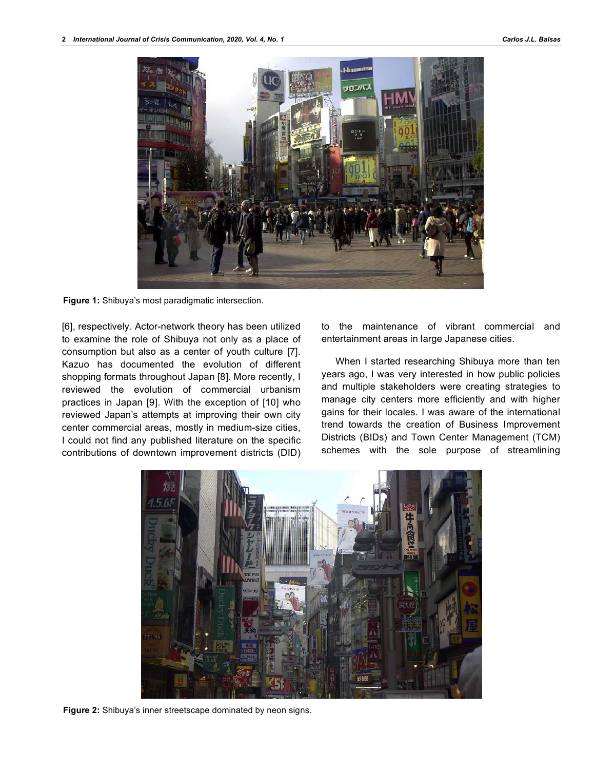

**Figure 1:** Shibuya's most paradigmatic intersection.

[6], respectively. Actor-network theory has been utilized to examine the role of Shibuya not only as a place of consumption but also as a center of youth culture [7]. Kazuo has documented the evolution of different shopping formats throughout Japan [8]. More recently, I reviewed the evolution of commercial urbanism practices in Japan [9]. With the exception of [10] who reviewed Japan's attempts at improving their own city center commercial areas, mostly in medium-size cities, I could not find any published literature on the specific contributions of downtown improvement districts (DID)

to the maintenance of vibrant commercial and entertainment areas in large Japanese cities.

When I started researching Shibuya more than ten years ago, I was very interested in how public policies and multiple stakeholders were creating strategies to manage city centers more efficiently and with higher gains for their locales. I was aware of the international trend towards the creation of Business Improvement Districts (BIDs) and Town Center Management (TCM) schemes with the sole purpose of streamlining



**Figure 2:** Shibuya's inner streetscape dominated by neon signs.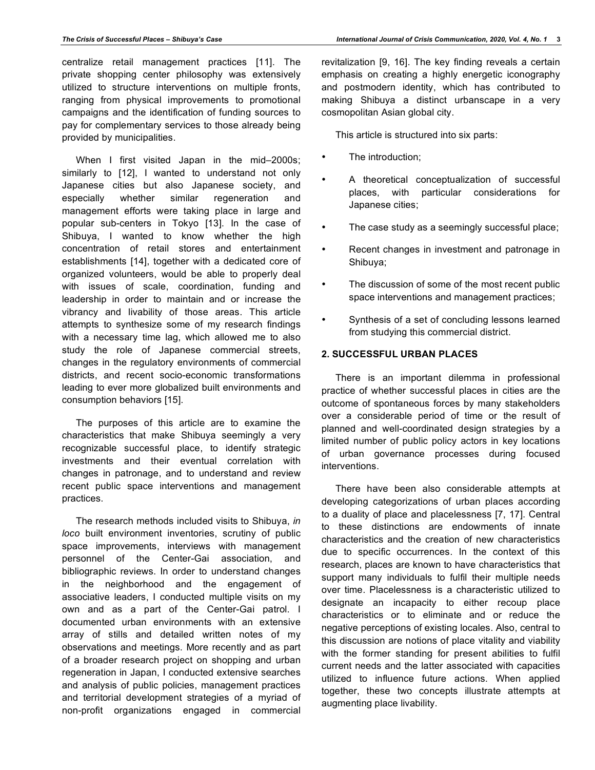centralize retail management practices [11]. The private shopping center philosophy was extensively utilized to structure interventions on multiple fronts, ranging from physical improvements to promotional campaigns and the identification of funding sources to pay for complementary services to those already being provided by municipalities.

When I first visited Japan in the mid-2000s; similarly to [12], I wanted to understand not only Japanese cities but also Japanese society, and especially whether similar regeneration and management efforts were taking place in large and popular sub-centers in Tokyo [13]. In the case of Shibuya, I wanted to know whether the high concentration of retail stores and entertainment establishments [14], together with a dedicated core of organized volunteers, would be able to properly deal with issues of scale, coordination, funding and leadership in order to maintain and or increase the vibrancy and livability of those areas. This article attempts to synthesize some of my research findings with a necessary time lag, which allowed me to also study the role of Japanese commercial streets, changes in the regulatory environments of commercial districts, and recent socio-economic transformations leading to ever more globalized built environments and consumption behaviors [15].

The purposes of this article are to examine the characteristics that make Shibuya seemingly a very recognizable successful place, to identify strategic investments and their eventual correlation with changes in patronage, and to understand and review recent public space interventions and management practices.

The research methods included visits to Shibuya, *in loco* built environment inventories, scrutiny of public space improvements, interviews with management personnel of the Center-Gai association, and bibliographic reviews. In order to understand changes in the neighborhood and the engagement of associative leaders, I conducted multiple visits on my own and as a part of the Center-Gai patrol. I documented urban environments with an extensive array of stills and detailed written notes of my observations and meetings. More recently and as part of a broader research project on shopping and urban regeneration in Japan, I conducted extensive searches and analysis of public policies, management practices and territorial development strategies of a myriad of non-profit organizations engaged in commercial

making Shibuya a distinct urbanscape in a very

This article is structured into six parts:

The introduction:

cosmopolitan Asian global city.

- A theoretical conceptualization of successful places, with particular considerations for Japanese cities;
- The case study as a seemingly successful place;
- Recent changes in investment and patronage in Shibuya;
- The discussion of some of the most recent public space interventions and management practices;
- Synthesis of a set of concluding lessons learned from studying this commercial district.

# **2. SUCCESSFUL URBAN PLACES**

There is an important dilemma in professional practice of whether successful places in cities are the outcome of spontaneous forces by many stakeholders over a considerable period of time or the result of planned and well-coordinated design strategies by a limited number of public policy actors in key locations of urban governance processes during focused interventions.

There have been also considerable attempts at developing categorizations of urban places according to a duality of place and placelessness [7, 17]. Central to these distinctions are endowments of innate characteristics and the creation of new characteristics due to specific occurrences. In the context of this research, places are known to have characteristics that support many individuals to fulfil their multiple needs over time. Placelessness is a characteristic utilized to designate an incapacity to either recoup place characteristics or to eliminate and or reduce the negative perceptions of existing locales. Also, central to this discussion are notions of place vitality and viability with the former standing for present abilities to fulfil current needs and the latter associated with capacities utilized to influence future actions. When applied together, these two concepts illustrate attempts at augmenting place livability.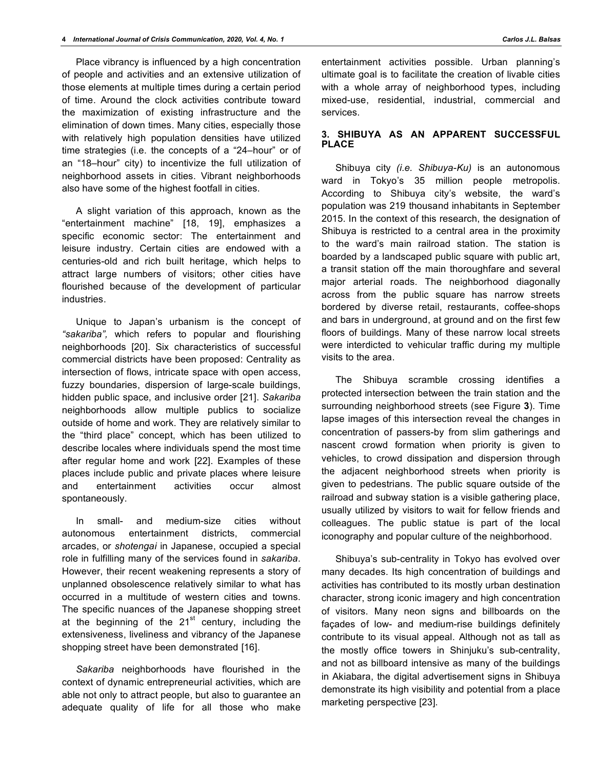Place vibrancy is influenced by a high concentration of people and activities and an extensive utilization of those elements at multiple times during a certain period of time. Around the clock activities contribute toward the maximization of existing infrastructure and the elimination of down times. Many cities, especially those with relatively high population densities have utilized time strategies (i.e. the concepts of a "24–hour" or of an "18–hour" city) to incentivize the full utilization of neighborhood assets in cities. Vibrant neighborhoods also have some of the highest footfall in cities.

A slight variation of this approach, known as the "entertainment machine" [18, 19], emphasizes a specific economic sector: The entertainment and leisure industry. Certain cities are endowed with a centuries-old and rich built heritage, which helps to attract large numbers of visitors; other cities have flourished because of the development of particular industries.

Unique to Japan's urbanism is the concept of *"sakariba",* which refers to popular and flourishing neighborhoods [20]. Six characteristics of successful commercial districts have been proposed: Centrality as intersection of flows, intricate space with open access, fuzzy boundaries, dispersion of large-scale buildings, hidden public space, and inclusive order [21]. *Sakariba* neighborhoods allow multiple publics to socialize outside of home and work. They are relatively similar to the "third place" concept, which has been utilized to describe locales where individuals spend the most time after regular home and work [22]. Examples of these places include public and private places where leisure and entertainment activities occur almost spontaneously.

In small- and medium-size cities without autonomous entertainment districts, commercial arcades, or *shotengai* in Japanese, occupied a special role in fulfilling many of the services found in *sakariba*. However, their recent weakening represents a story of unplanned obsolescence relatively similar to what has occurred in a multitude of western cities and towns. The specific nuances of the Japanese shopping street at the beginning of the  $21<sup>st</sup>$  century, including the extensiveness, liveliness and vibrancy of the Japanese shopping street have been demonstrated [16].

*Sakariba* neighborhoods have flourished in the context of dynamic entrepreneurial activities, which are able not only to attract people, but also to guarantee an adequate quality of life for all those who make

entertainment activities possible. Urban planning's ultimate goal is to facilitate the creation of livable cities with a whole array of neighborhood types, including mixed-use, residential, industrial, commercial and services.

## **3. SHIBUYA AS AN APPARENT SUCCESSFUL PLACE**

Shibuya city *(i.e. Shibuya-Ku)* is an autonomous ward in Tokyo's 35 million people metropolis. According to Shibuya city's website, the ward's population was 219 thousand inhabitants in September 2015. In the context of this research, the designation of Shibuya is restricted to a central area in the proximity to the ward's main railroad station. The station is boarded by a landscaped public square with public art, a transit station off the main thoroughfare and several major arterial roads. The neighborhood diagonally across from the public square has narrow streets bordered by diverse retail, restaurants, coffee-shops and bars in underground, at ground and on the first few floors of buildings. Many of these narrow local streets were interdicted to vehicular traffic during my multiple visits to the area.

The Shibuya scramble crossing identifies a protected intersection between the train station and the surrounding neighborhood streets (see Figure **3**). Time lapse images of this intersection reveal the changes in concentration of passers-by from slim gatherings and nascent crowd formation when priority is given to vehicles, to crowd dissipation and dispersion through the adjacent neighborhood streets when priority is given to pedestrians. The public square outside of the railroad and subway station is a visible gathering place, usually utilized by visitors to wait for fellow friends and colleagues. The public statue is part of the local iconography and popular culture of the neighborhood.

Shibuya's sub-centrality in Tokyo has evolved over many decades. Its high concentration of buildings and activities has contributed to its mostly urban destination character, strong iconic imagery and high concentration of visitors. Many neon signs and billboards on the façades of low- and medium-rise buildings definitely contribute to its visual appeal. Although not as tall as the mostly office towers in Shinjuku's sub-centrality, and not as billboard intensive as many of the buildings in Akiabara, the digital advertisement signs in Shibuya demonstrate its high visibility and potential from a place marketing perspective [23].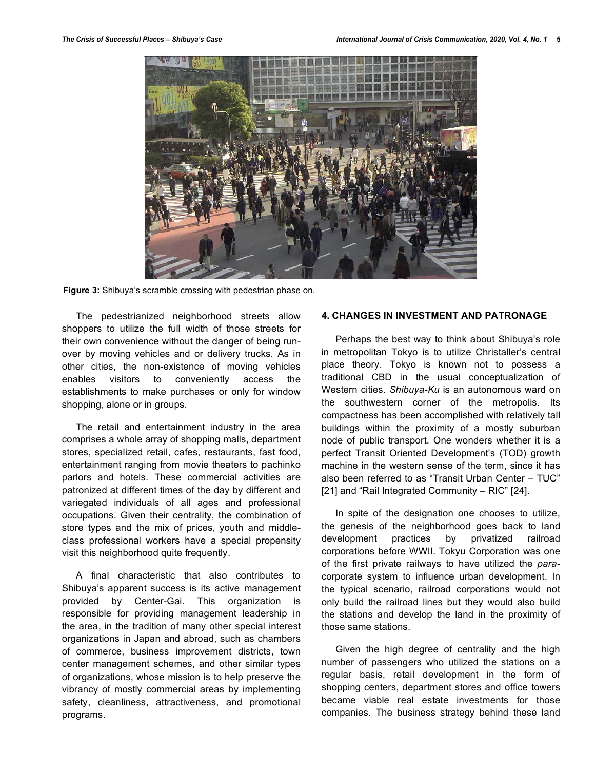

**Figure 3:** Shibuya's scramble crossing with pedestrian phase on.

The pedestrianized neighborhood streets allow shoppers to utilize the full width of those streets for their own convenience without the danger of being runover by moving vehicles and or delivery trucks. As in other cities, the non-existence of moving vehicles enables visitors to conveniently access the establishments to make purchases or only for window shopping, alone or in groups.

The retail and entertainment industry in the area comprises a whole array of shopping malls, department stores, specialized retail, cafes, restaurants, fast food, entertainment ranging from movie theaters to pachinko parlors and hotels. These commercial activities are patronized at different times of the day by different and variegated individuals of all ages and professional occupations. Given their centrality, the combination of store types and the mix of prices, youth and middleclass professional workers have a special propensity visit this neighborhood quite frequently.

A final characteristic that also contributes to Shibuya's apparent success is its active management provided by Center-Gai. This organization is responsible for providing management leadership in the area, in the tradition of many other special interest organizations in Japan and abroad, such as chambers of commerce, business improvement districts, town center management schemes, and other similar types of organizations, whose mission is to help preserve the vibrancy of mostly commercial areas by implementing safety, cleanliness, attractiveness, and promotional programs.

## **4. CHANGES IN INVESTMENT AND PATRONAGE**

Perhaps the best way to think about Shibuya's role in metropolitan Tokyo is to utilize Christaller's central place theory. Tokyo is known not to possess a traditional CBD in the usual conceptualization of Western cities. *Shibuya-Ku* is an autonomous ward on the southwestern corner of the metropolis. Its compactness has been accomplished with relatively tall buildings within the proximity of a mostly suburban node of public transport. One wonders whether it is a perfect Transit Oriented Development's (TOD) growth machine in the western sense of the term, since it has also been referred to as "Transit Urban Center – TUC" [21] and "Rail Integrated Community – RIC" [24].

In spite of the designation one chooses to utilize, the genesis of the neighborhood goes back to land development practices by privatized railroad corporations before WWII. Tokyu Corporation was one of the first private railways to have utilized the *para*corporate system to influence urban development. In the typical scenario, railroad corporations would not only build the railroad lines but they would also build the stations and develop the land in the proximity of those same stations.

Given the high degree of centrality and the high number of passengers who utilized the stations on a regular basis, retail development in the form of shopping centers, department stores and office towers became viable real estate investments for those companies. The business strategy behind these land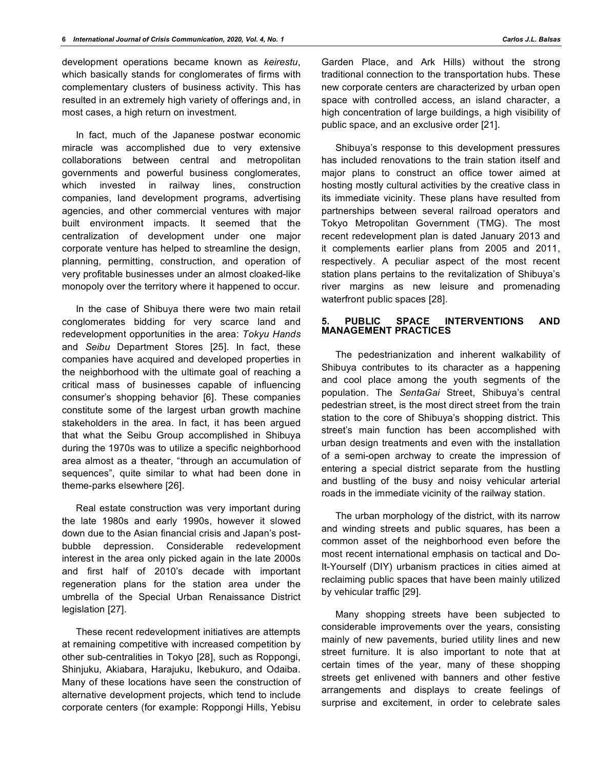development operations became known as *keirestu*, which basically stands for conglomerates of firms with complementary clusters of business activity. This has resulted in an extremely high variety of offerings and, in most cases, a high return on investment.

In fact, much of the Japanese postwar economic miracle was accomplished due to very extensive collaborations between central and metropolitan governments and powerful business conglomerates, which invested in railway lines, construction companies, land development programs, advertising agencies, and other commercial ventures with major built environment impacts. It seemed that the centralization of development under one major corporate venture has helped to streamline the design, planning, permitting, construction, and operation of very profitable businesses under an almost cloaked-like monopoly over the territory where it happened to occur.

In the case of Shibuya there were two main retail conglomerates bidding for very scarce land and redevelopment opportunities in the area: *Tokyu Hands* and *Seibu* Department Stores [25]. In fact, these companies have acquired and developed properties in the neighborhood with the ultimate goal of reaching a critical mass of businesses capable of influencing consumer's shopping behavior [6]. These companies constitute some of the largest urban growth machine stakeholders in the area. In fact, it has been argued that what the Seibu Group accomplished in Shibuya during the 1970s was to utilize a specific neighborhood area almost as a theater, "through an accumulation of sequences", quite similar to what had been done in theme-parks elsewhere [26].

Real estate construction was very important during the late 1980s and early 1990s, however it slowed down due to the Asian financial crisis and Japan's postbubble depression. Considerable redevelopment interest in the area only picked again in the late 2000s and first half of 2010's decade with important regeneration plans for the station area under the umbrella of the Special Urban Renaissance District legislation [27].

These recent redevelopment initiatives are attempts at remaining competitive with increased competition by other sub-centralities in Tokyo [28], such as Roppongi, Shinjuku, Akiabara, Harajuku, Ikebukuro, and Odaiba. Many of these locations have seen the construction of alternative development projects, which tend to include corporate centers (for example: Roppongi Hills, Yebisu Garden Place, and Ark Hills) without the strong traditional connection to the transportation hubs. These new corporate centers are characterized by urban open space with controlled access, an island character, a high concentration of large buildings, a high visibility of public space, and an exclusive order [21].

Shibuya's response to this development pressures has included renovations to the train station itself and major plans to construct an office tower aimed at hosting mostly cultural activities by the creative class in its immediate vicinity. These plans have resulted from partnerships between several railroad operators and Tokyo Metropolitan Government (TMG). The most recent redevelopment plan is dated January 2013 and it complements earlier plans from 2005 and 2011, respectively. A peculiar aspect of the most recent station plans pertains to the revitalization of Shibuya's river margins as new leisure and promenading waterfront public spaces [28].

## **5. PUBLIC SPACE INTERVENTIONS AND MANAGEMENT PRACTICES**

The pedestrianization and inherent walkability of Shibuya contributes to its character as a happening and cool place among the youth segments of the population. The *SentaGai* Street, Shibuya's central pedestrian street, is the most direct street from the train station to the core of Shibuya's shopping district. This street's main function has been accomplished with urban design treatments and even with the installation of a semi-open archway to create the impression of entering a special district separate from the hustling and bustling of the busy and noisy vehicular arterial roads in the immediate vicinity of the railway station.

The urban morphology of the district, with its narrow and winding streets and public squares, has been a common asset of the neighborhood even before the most recent international emphasis on tactical and Do-It-Yourself (DIY) urbanism practices in cities aimed at reclaiming public spaces that have been mainly utilized by vehicular traffic [29].

Many shopping streets have been subjected to considerable improvements over the years, consisting mainly of new pavements, buried utility lines and new street furniture. It is also important to note that at certain times of the year, many of these shopping streets get enlivened with banners and other festive arrangements and displays to create feelings of surprise and excitement, in order to celebrate sales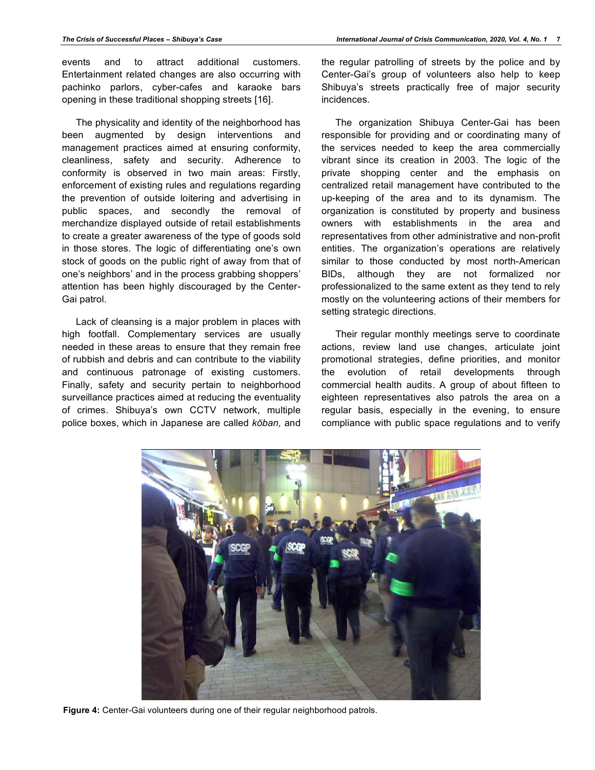events and to attract additional customers. Entertainment related changes are also occurring with pachinko parlors, cyber-cafes and karaoke bars opening in these traditional shopping streets [16].

The physicality and identity of the neighborhood has been augmented by design interventions and management practices aimed at ensuring conformity, cleanliness, safety and security. Adherence to conformity is observed in two main areas: Firstly, enforcement of existing rules and regulations regarding the prevention of outside loitering and advertising in public spaces, and secondly the removal of merchandize displayed outside of retail establishments to create a greater awareness of the type of goods sold in those stores. The logic of differentiating one's own stock of goods on the public right of away from that of one's neighbors' and in the process grabbing shoppers' attention has been highly discouraged by the Center-Gai patrol.

Lack of cleansing is a major problem in places with high footfall. Complementary services are usually needed in these areas to ensure that they remain free of rubbish and debris and can contribute to the viability and continuous patronage of existing customers. Finally, safety and security pertain to neighborhood surveillance practices aimed at reducing the eventuality of crimes. Shibuya's own CCTV network, multiple police boxes, which in Japanese are called *kōban,* and the regular patrolling of streets by the police and by Center-Gai's group of volunteers also help to keep Shibuya's streets practically free of major security incidences.

The organization Shibuya Center-Gai has been responsible for providing and or coordinating many of the services needed to keep the area commercially vibrant since its creation in 2003. The logic of the private shopping center and the emphasis on centralized retail management have contributed to the up-keeping of the area and to its dynamism. The organization is constituted by property and business owners with establishments in the area and representatives from other administrative and non-profit entities. The organization's operations are relatively similar to those conducted by most north-American BIDs, although they are not formalized nor professionalized to the same extent as they tend to rely mostly on the volunteering actions of their members for setting strategic directions.

Their regular monthly meetings serve to coordinate actions, review land use changes, articulate joint promotional strategies, define priorities, and monitor the evolution of retail developments through commercial health audits. A group of about fifteen to eighteen representatives also patrols the area on a regular basis, especially in the evening, to ensure compliance with public space regulations and to verify



**Figure 4:** Center-Gai volunteers during one of their regular neighborhood patrols.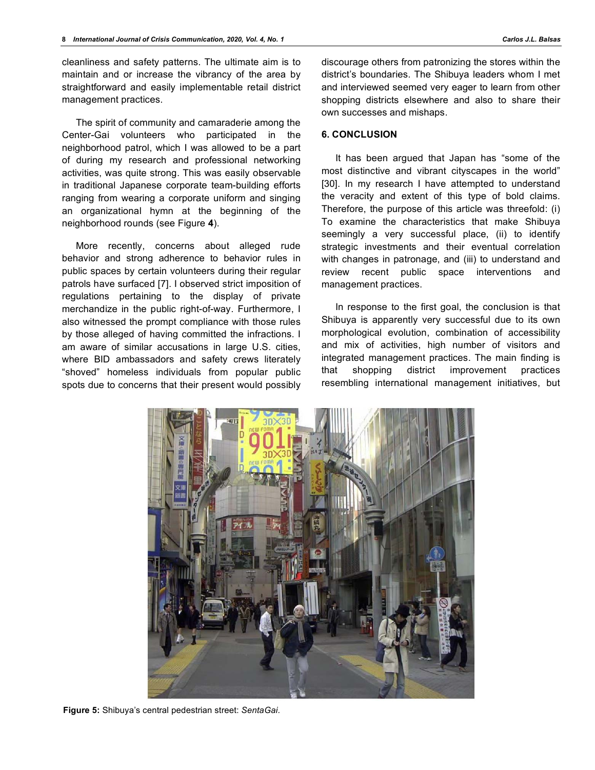cleanliness and safety patterns. The ultimate aim is to maintain and or increase the vibrancy of the area by straightforward and easily implementable retail district management practices.

The spirit of community and camaraderie among the Center-Gai volunteers who participated in the neighborhood patrol, which I was allowed to be a part of during my research and professional networking activities, was quite strong. This was easily observable in traditional Japanese corporate team-building efforts ranging from wearing a corporate uniform and singing an organizational hymn at the beginning of the neighborhood rounds (see Figure **4**).

More recently, concerns about alleged rude behavior and strong adherence to behavior rules in public spaces by certain volunteers during their regular patrols have surfaced [7]. I observed strict imposition of regulations pertaining to the display of private merchandize in the public right-of-way. Furthermore, I also witnessed the prompt compliance with those rules by those alleged of having committed the infractions. I am aware of similar accusations in large U.S. cities, where BID ambassadors and safety crews literately "shoved" homeless individuals from popular public spots due to concerns that their present would possibly

discourage others from patronizing the stores within the district's boundaries. The Shibuya leaders whom I met and interviewed seemed very eager to learn from other shopping districts elsewhere and also to share their own successes and mishaps.

## **6. CONCLUSION**

It has been argued that Japan has "some of the most distinctive and vibrant cityscapes in the world" [30]. In my research I have attempted to understand the veracity and extent of this type of bold claims. Therefore, the purpose of this article was threefold: (i) To examine the characteristics that make Shibuya seemingly a very successful place, (ii) to identify strategic investments and their eventual correlation with changes in patronage, and (iii) to understand and review recent public space interventions and management practices.

In response to the first goal, the conclusion is that Shibuya is apparently very successful due to its own morphological evolution, combination of accessibility and mix of activities, high number of visitors and integrated management practices. The main finding is that shopping district improvement practices resembling international management initiatives, but



**Figure 5:** Shibuya's central pedestrian street: *SentaGai.*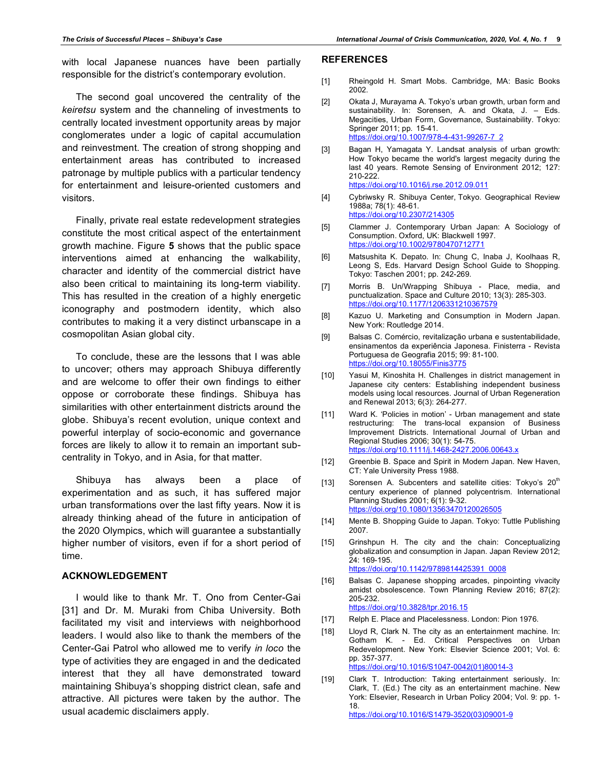with local Japanese nuances have been partially responsible for the district's contemporary evolution.

The second goal uncovered the centrality of the *keiretsu* system and the channeling of investments to centrally located investment opportunity areas by major conglomerates under a logic of capital accumulation and reinvestment. The creation of strong shopping and entertainment areas has contributed to increased patronage by multiple publics with a particular tendency for entertainment and leisure-oriented customers and visitors.

Finally, private real estate redevelopment strategies constitute the most critical aspect of the entertainment growth machine. Figure **5** shows that the public space interventions aimed at enhancing the walkability, character and identity of the commercial district have also been critical to maintaining its long-term viability. This has resulted in the creation of a highly energetic iconography and postmodern identity, which also contributes to making it a very distinct urbanscape in a cosmopolitan Asian global city.

To conclude, these are the lessons that I was able to uncover; others may approach Shibuya differently and are welcome to offer their own findings to either oppose or corroborate these findings. Shibuya has similarities with other entertainment districts around the globe. Shibuya's recent evolution, unique context and powerful interplay of socio-economic and governance forces are likely to allow it to remain an important subcentrality in Tokyo, and in Asia, for that matter.

Shibuya has always been a place of experimentation and as such, it has suffered major urban transformations over the last fifty years. Now it is already thinking ahead of the future in anticipation of the 2020 Olympics, which will guarantee a substantially higher number of visitors, even if for a short period of time.

### **ACKNOWLEDGEMENT**

I would like to thank Mr. T. Ono from Center-Gai [31] and Dr. M. Muraki from Chiba University. Both facilitated my visit and interviews with neighborhood leaders. I would also like to thank the members of the Center-Gai Patrol who allowed me to verify *in loco* the type of activities they are engaged in and the dedicated interest that they all have demonstrated toward maintaining Shibuya's shopping district clean, safe and attractive. All pictures were taken by the author. The usual academic disclaimers apply.

#### **REFERENCES**

- [1] Rheingold H. Smart Mobs. Cambridge, MA: Basic Books 2002.
- [2] Okata J, Murayama A. Tokyo's urban growth, urban form and sustainability. In: Sorensen, A. and Okata, J. – Eds. Megacities, Urban Form, Governance, Sustainability. Tokyo: Springer 2011; pp. 15-41. https://doi.org/10.1007/978-4-431-99267-7\_2
- [3] Bagan H, Yamagata Y. Landsat analysis of urban growth: How Tokyo became the world's largest megacity during the last 40 years. Remote Sensing of Environment 2012; 127: 210-222. https://doi.org/10.1016/j.rse.2012.09.011
- [4] Cybriwsky R. Shibuya Center, Tokyo. Geographical Review 1988a; 78(1): 48-61. https://doi.org/10.2307/214305
- [5] Clammer J. Contemporary Urban Japan: A Sociology of Consumption. Oxford, UK: Blackwell 1997. https://doi.org/10.1002/9780470712771
- [6] Matsushita K. Depato. In: Chung C, Inaba J, Koolhaas R, Leong S, Eds. Harvard Design School Guide to Shopping. Tokyo: Taschen 2001; pp. 242-269.
- [7] Morris B. Un/Wrapping Shibuya Place, media, and punctualization. Space and Culture 2010; 13(3): 285-303. https://doi.org/10.1177/1206331210367579
- [8] Kazuo U. Marketing and Consumption in Modern Japan. New York: Routledge 2014.
- [9] Balsas C. Comércio, revitalização urbana e sustentabilidade, ensinamentos da experiência Japonesa. Finisterra - Revista Portuguesa de Geografia 2015; 99: 81-100. https://doi.org/10.18055/Finis3775
- [10] Yasui M, Kinoshita H. Challenges in district management in Japanese city centers: Establishing independent business models using local resources. Journal of Urban Regeneration and Renewal 2013; 6(3): 264-277.
- [11] Ward K. 'Policies in motion' Urban management and state restructuring: The trans-local expansion of Business Improvement Districts. International Journal of Urban and Regional Studies 2006; 30(1): 54-75. https://doi.org/10.1111/j.1468-2427.2006.00643.x
- [12] Greenbie B. Space and Spirit in Modern Japan. New Haven, CT: Yale University Press 1988.
- [13] Sorensen A. Subcenters and satellite cities: Tokyo's 20<sup>th</sup> century experience of planned polycentrism. International Planning Studies 2001; 6(1): 9-32. https://doi.org/10.1080/13563470120026505
- [14] Mente B. Shopping Guide to Japan. Tokyo: Tuttle Publishing 2007.
- [15] Grinshpun H. The city and the chain: Conceptualizing globalization and consumption in Japan. Japan Review 2012; 24: 169-195. https://doi.org/10.1142/9789814425391\_0008
- [16] Balsas C. Japanese shopping arcades, pinpointing vivacity amidst obsolescence. Town Planning Review 2016; 87(2): 205-232. https://doi.org/10.3828/tpr.2016.15
- [17] Relph E. Place and Placelessness. London: Pion 1976.
- [18] Lloyd R, Clark N. The city as an entertainment machine. In: Gotham K. - Ed. Critical Perspectives on Urban Redevelopment. New York: Elsevier Science 2001; Vol. 6: pp. 357-377. https://doi.org/10.1016/S1047-0042(01)80014-3
- [19] Clark T. Introduction: Taking entertainment seriously. In: Clark, T. (Ed.) The city as an entertainment machine. New York: Elsevier, Research in Urban Policy 2004; Vol. 9: pp. 1- 18. https://doi.org/10.1016/S1479-3520(03)09001-9